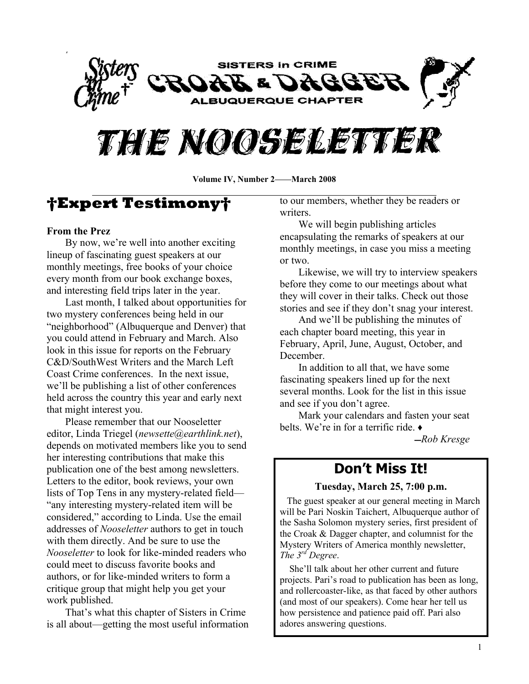



**Volume IV, Number 2—March 2008** 

# **Expert Testimony**

#### **From the Prez**

By now, we're well into another exciting lineup of fascinating guest speakers at our monthly meetings, free books of your choice every month from our book exchange boxes, and interesting field trips later in the year.

Last month, I talked about opportunities for two mystery conferences being held in our "neighborhood" (Albuquerque and Denver) that you could attend in February and March. Also look in this issue for reports on the February C&D/SouthWest Writers and the March Left Coast Crime conferences. In the next issue, we'll be publishing a list of other conferences held across the country this year and early next that might interest you.

Please remember that our Nooseletter editor, Linda Triegel (*newsette@earthlink.net*), depends on motivated members like you to send her interesting contributions that make this publication one of the best among newsletters. Letters to the editor, book reviews, your own lists of Top Tens in any mystery-related field— ³any interesting mystery-related item will be considered," according to Linda. Use the email addresses of *Nooseletter* authors to get in touch with them directly. And be sure to use the *Nooseletter* to look for like-minded readers who could meet to discuss favorite books and authors, or for like-minded writers to form a critique group that might help you get your work published.

That's what this chapter of Sisters in Crime is all about—getting the most useful information to our members, whether they be readers or writers.

We will begin publishing articles encapsulating the remarks of speakers at our monthly meetings, in case you miss a meeting or two.

Likewise, we will try to interview speakers before they come to our meetings about what they will cover in their talks. Check out those stories and see if they don't snag your interest.

And we'll be publishing the minutes of each chapter board meeting, this year in February, April, June, August, October, and December.

In addition to all that, we have some fascinating speakers lined up for the next several months. Look for the list in this issue and see if you don't agree.

Mark your calendars and fasten your seat belts. We're in for a terrific ride.  $\bullet$ 

̛*Rob Kresge*

## **Don¶t Miss It!**

#### **Tuesday, March 25, 7:00 p.m.**

 The guest speaker at our general meeting in March will be Pari Noskin Taichert, Albuquerque author of the Sasha Solomon mystery series, first president of the Croak & Dagger chapter, and columnist for the Mystery Writers of America monthly newsletter, *The 3 rd Degree*.

She'll talk about her other current and future projects. Pari's road to publication has been as long, and rollercoaster-like, as that faced by other authors (and most of our speakers). Come hear her tell us how persistence and patience paid off. Pari also adores answering questions.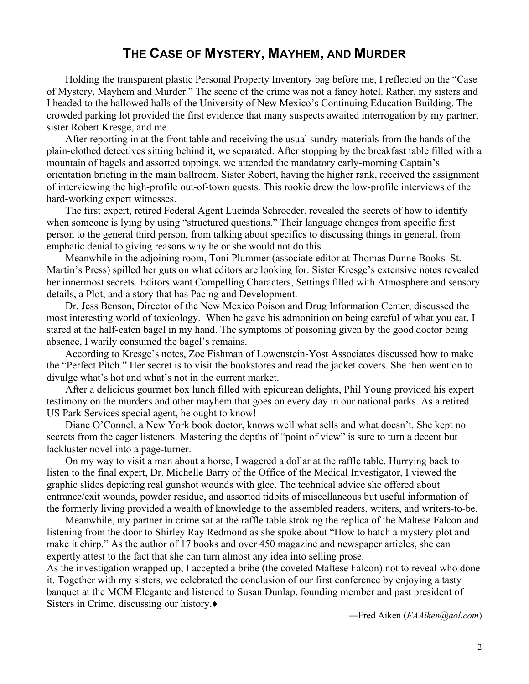## **THE CASE OF MYSTERY, MAYHEM, AND MURDER**

Holding the transparent plastic Personal Property Inventory bag before me, I reflected on the "Case" of Mystery, Mayhem and Murder." The scene of the crime was not a fancy hotel. Rather, my sisters and I headed to the hallowed halls of the University of New Mexico's Continuing Education Building. The crowded parking lot provided the first evidence that many suspects awaited interrogation by my partner, sister Robert Kresge, and me.

After reporting in at the front table and receiving the usual sundry materials from the hands of the plain-clothed detectives sitting behind it, we separated. After stopping by the breakfast table filled with a mountain of bagels and assorted toppings, we attended the mandatory early-morning Captain's orientation briefing in the main ballroom. Sister Robert, having the higher rank, received the assignment of interviewing the high-profile out-of-town guests. This rookie drew the low-profile interviews of the hard-working expert witnesses.

The first expert, retired Federal Agent Lucinda Schroeder, revealed the secrets of how to identify when someone is lying by using "structured questions." Their language changes from specific first person to the general third person, from talking about specifics to discussing things in general, from emphatic denial to giving reasons why he or she would not do this.

Meanwhile in the adjoining room, Toni Plummer (associate editor at Thomas Dunne Books–St. Martin's Press) spilled her guts on what editors are looking for. Sister Kresge's extensive notes revealed her innermost secrets. Editors want Compelling Characters, Settings filled with Atmosphere and sensory details, a Plot, and a story that has Pacing and Development.

Dr. Jess Benson, Director of the New Mexico Poison and Drug Information Center, discussed the most interesting world of toxicology. When he gave his admonition on being careful of what you eat, I stared at the half-eaten bagel in my hand. The symptoms of poisoning given by the good doctor being absence, I warily consumed the bagel's remains.

According to Kresge's notes, Zoe Fishman of Lowenstein-Yost Associates discussed how to make the "Perfect Pitch." Her secret is to visit the bookstores and read the jacket covers. She then went on to divulge what's hot and what's not in the current market.

After a delicious gourmet box lunch filled with epicurean delights, Phil Young provided his expert testimony on the murders and other mayhem that goes on every day in our national parks. As a retired US Park Services special agent, he ought to know!

Diane O'Connel, a New York book doctor, knows well what sells and what doesn't. She kept no secrets from the eager listeners. Mastering the depths of "point of view" is sure to turn a decent but lackluster novel into a page-turner.

On my way to visit a man about a horse, I wagered a dollar at the raffle table. Hurrying back to listen to the final expert, Dr. Michelle Barry of the Office of the Medical Investigator, I viewed the graphic slides depicting real gunshot wounds with glee. The technical advice she offered about entrance/exit wounds, powder residue, and assorted tidbits of miscellaneous but useful information of the formerly living provided a wealth of knowledge to the assembled readers, writers, and writers-to-be.

Meanwhile, my partner in crime sat at the raffle table stroking the replica of the Maltese Falcon and listening from the door to Shirley Ray Redmond as she spoke about "How to hatch a mystery plot and make it chirp." As the author of 17 books and over 450 magazine and newspaper articles, she can expertly attest to the fact that she can turn almost any idea into selling prose.

As the investigation wrapped up, I accepted a bribe (the coveted Maltese Falcon) not to reveal who done it. Together with my sisters, we celebrated the conclusion of our first conference by enjoying a tasty banquet at the MCM Elegante and listened to Susan Dunlap, founding member and past president of Sisters in Crime, discussing our history. $\bullet$ 

ʊFred Aiken (*FAAiken@aol.com*)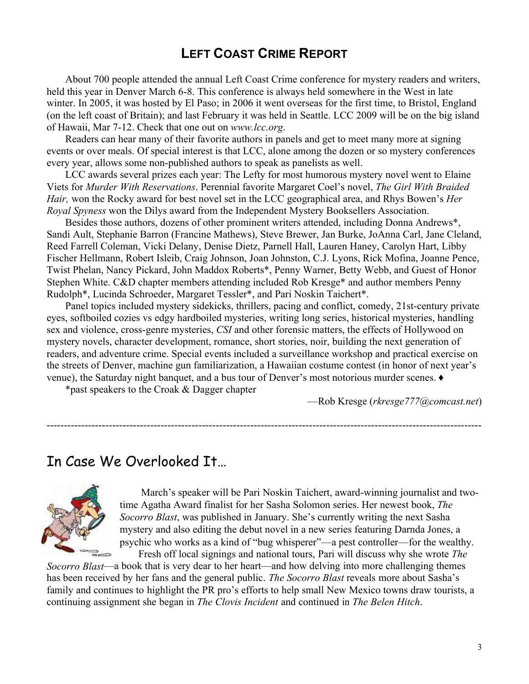## **LEFT COAST CRIME REPORT**

About 700 people attended the annual Left Coast Crime conference for mystery readers and writers, held this year in Denver March 6-8. This conference is always held somewhere in the West in late winter. In 2005, it was hosted by El Paso; in 2006 it went overseas for the first time, to Bristol, England (on the left coast of Britain); and last February it was held in Seattle. LCC 2009 will be on the big island of Hawaii, Mar 7-12. Check that one out on *www.lcc.org*.

Readers can hear many of their favorite authors in panels and get to meet many more at signing events or over meals. Of special interest is that LCC, alone among the dozen or so mystery conferences every year, allows some non-published authors to speak as panelists as well.

LCC awards several prizes each year: The Lefty for most humorous mystery novel went to Elaine Viets for *Murder With Reservations*. Perennial favorite Margaret Coel¶s novel, *The Girl With Braided Hair*, won the Rocky award for best novel set in the LCC geographical area, and Rhys Bowen's *Her Royal Spyness* won the Dilys award from the Independent Mystery Booksellers Association.

Besides those authors, dozens of other prominent writers attended, including Donna Andrews\*, Sandi Ault, Stephanie Barron (Francine Mathews), Steve Brewer, Jan Burke, JoAnna Carl, Jane Cleland, Reed Farrell Coleman, Vicki Delany, Denise Dietz, Parnell Hall, Lauren Haney, Carolyn Hart, Libby Fischer Hellmann, Robert Isleib, Craig Johnson, Joan Johnston, C.J. Lyons, Rick Mofina, Joanne Pence, Twist Phelan, Nancy Pickard, John Maddox Roberts\*, Penny Warner, Betty Webb, and Guest of Honor Stephen White. C&D chapter members attending included Rob Kresge\* and author members Penny Rudolph\*, Lucinda Schroeder, Margaret Tessler\*, and Pari Noskin Taichert\*.

Panel topics included mystery sidekicks, thrillers, pacing and conflict, comedy, 21st-century private eyes, softboiled cozies vs edgy hardboiled mysteries, writing long series, historical mysteries, handling sex and violence, cross-genre mysteries, *CSI* and other forensic matters, the effects of Hollywood on mystery novels, character development, romance, short stories, noir, building the next generation of readers, and adventure crime. Special events included a surveillance workshop and practical exercise on the streets of Denver, machine gun familiarization, a Hawaiian costume contest (in honor of next year's venue), the Saturday night banquet, and a bus tour of Denver's most notorious murder scenes.  $\bullet$ 

------------------------------------------------------------------------------------------------------------------------------

\*past speakers to the Croak & Dagger chapter

²Rob Kresge (*rkresge777@comcast.net*)

## In Case We Overlooked It...



March's speaker will be Pari Noskin Taichert, award-winning journalist and twotime Agatha Award finalist for her Sasha Solomon series. Her newest book, *The Socorro Blast*, was published in January. She's currently writing the next Sasha mystery and also editing the debut novel in a new series featuring Darnda Jones, a psychic who works as a kind of "bug whisperer"—a pest controller—for the wealthy. Fresh off local signings and national tours, Pari will discuss why she wrote *The*

*Socorro Blast*—a book that is very dear to her heart—and how delving into more challenging themes has been received by her fans and the general public. *The Socorro Blast* reveals more about Sasha's family and continues to highlight the PR pro's efforts to help small New Mexico towns draw tourists, a continuing assignment she began in *The Clovis Incident* and continued in *The Belen Hitch*.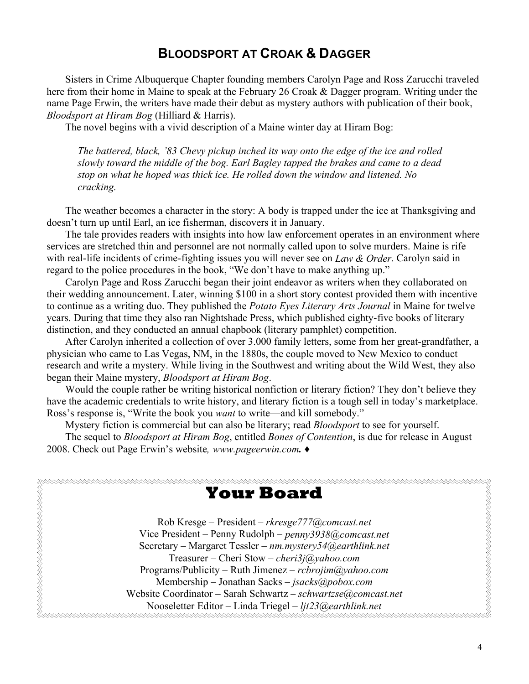## **BLOODSPORT AT CROAK & DAGGER**

Sisters in Crime Albuquerque Chapter founding members Carolyn Page and Ross Zarucchi traveled here from their home in Maine to speak at the February 26 Croak & Dagger program. Writing under the name Page Erwin, the writers have made their debut as mystery authors with publication of their book, *Bloodsport at Hiram Bog* (Hilliard & Harris).

The novel begins with a vivid description of a Maine winter day at Hiram Bog:

*The battered, black, ¶83 Chevy pickup inched its way onto the edge of the ice and rolled slowly toward the middle of the bog. Earl Bagley tapped the brakes and came to a dead stop on what he hoped was thick ice. He rolled down the window and listened. No cracking.*

The weather becomes a character in the story: A body is trapped under the ice at Thanksgiving and doesn't turn up until Earl, an ice fisherman, discovers it in January.

The tale provides readers with insights into how law enforcement operates in an environment where services are stretched thin and personnel are not normally called upon to solve murders. Maine is rife with real-life incidents of crime-fighting issues you will never see on *Law & Order*. Carolyn said in regard to the police procedures in the book, "We don't have to make anything up."

Carolyn Page and Ross Zarucchi began their joint endeavor as writers when they collaborated on their wedding announcement. Later, winning \$100 in a short story contest provided them with incentive to continue as a writing duo. They published the *Potato Eyes Literary Arts Journal* in Maine for twelve years. During that time they also ran Nightshade Press, which published eighty-five books of literary distinction, and they conducted an annual chapbook (literary pamphlet) competition.

After Carolyn inherited a collection of over 3.000 family letters, some from her great-grandfather, a physician who came to Las Vegas, NM, in the 1880s, the couple moved to New Mexico to conduct research and write a mystery. While living in the Southwest and writing about the Wild West, they also began their Maine mystery, *Bloodsport at Hiram Bog*.

Would the couple rather be writing historical nonfiction or literary fiction? They don't believe they have the academic credentials to write history, and literary fiction is a tough sell in today's marketplace. Ross's response is, "Write the book you *want* to write—and kill somebody."

Mystery fiction is commercial but can also be literary; read *Bloodsport* to see for yourself. The sequel to *Bloodsport at Hiram Bog*, entitled *Bones of Contention*, is due for release in August 2008. Check out Page Erwin's website, www.pageerwin.com.  $\triangleleft$ 

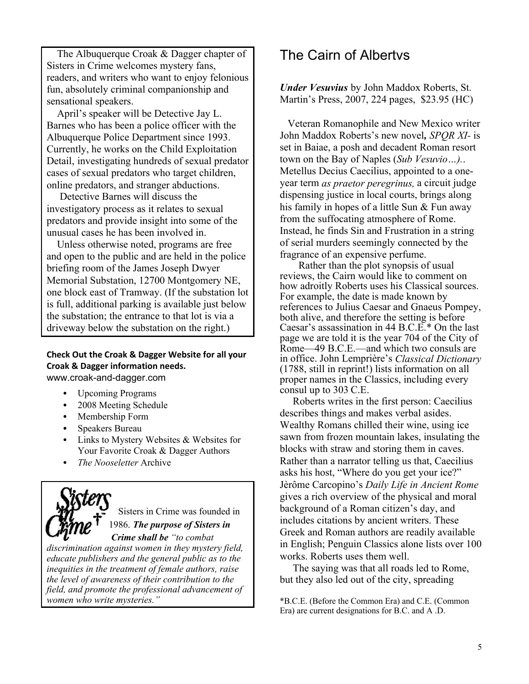The Albuquerque Croak & Dagger chapter of Sisters in Crime welcomes mystery fans, readers, and writers who want to enjoy felonious fun, absolutely criminal companionship and sensational speakers.

April's speaker will be Detective Jay L. Barnes who has been a police officer with the Albuquerque Police Department since 1993. Currently, he works on the Child Exploitation Detail, investigating hundreds of sexual predator cases of sexual predators who target children, online predators, and stranger abductions.

 Detective Barnes will discuss the investigatory process as it relates to sexual predators and provide insight into some of the unusual cases he has been involved in.

 Unless otherwise noted, programs are free and open to the public and are held in the police briefing room of the James Joseph Dwyer Memorial Substation, 12700 Montgomery NE, one block east of Tramway. (If the substation lot is full, additional parking is available just below the substation; the entrance to that lot is via a driveway below the substation on the right.)

#### **Check Out the Croak & Dagger Website for all your Croak & Dagger information needs.** www.croak-and-dagger.com

• Upcoming Programs

- 2008 Meeting Schedule
- Membership Form
- Speakers Bureau
- Links to Mystery Websites & Websites for Your Favorite Croak & Dagger Authors
- *The Nooseletter* Archive

 Sisters in Crime was founded in 1986. *The purpose of Sisters in Crime shall be "to combat* 

*discrimination against women in they mystery field, educate publishers and the general public as to the inequities in the treatment of female authors, raise the level of awareness of their contribution to the field, and promote the professional advancement of women who write mysteries.´*

## The Cairn of Albertys

*Under Vesuvius* by John Maddox Roberts, St. Martin's Press, 2007, 224 pages, \$23.95 (HC)

Veteran Romanophile and New Mexico writer John Maddox Roberts's new novel, *SPOR XI*- is set in Baiae, a posh and decadent Roman resort town on the Bay of Naples (*Sub Vesuvio«).*. Metellus Decius Caecilius, appointed to a oneyear term *as praetor peregrinus,* a circuit judge dispensing justice in local courts, brings along his family in hopes of a little Sun & Fun away from the suffocating atmosphere of Rome. Instead, he finds Sin and Frustration in a string of serial murders seemingly connected by the fragrance of an expensive perfume.

Rather than the plot synopsis of usual reviews, the Cairn would like to comment on how adroitly Roberts uses his Classical sources. For example, the date is made known by references to Julius Caesar and Gnaeus Pompey, both alive, and therefore the setting is before Caesar's assassination in 44 B.C. $E^*$  On the last page we are told it is the year 704 of the City of Rome $-49$  B.C.E. $-$ and which two consuls are in office. John Lemprière¶s *Classical Dictionary*  (1788, still in reprint!) lists information on all proper names in the Classics, including every consul up to 303 C.E.

 Roberts writes in the first person: Caecilius describes things and makes verbal asides. Wealthy Romans chilled their wine, using ice sawn from frozen mountain lakes, insulating the blocks with straw and storing them in caves. Rather than a narrator telling us that, Caecilius asks his host, "Where do you get your ice?" Jèrôme Carcopino's *Daily Life in Ancient Rome* gives a rich overview of the physical and moral background of a Roman citizen's day, and includes citations by ancient writers. These Greek and Roman authors are readily available in English; Penguin Classics alone lists over 100 works. Roberts uses them well.

 The saying was that all roads led to Rome, but they also led out of the city, spreading

\*B.C.E. (Before the Common Era) and C.E. (Common Era) are current designations for B.C. and A .D.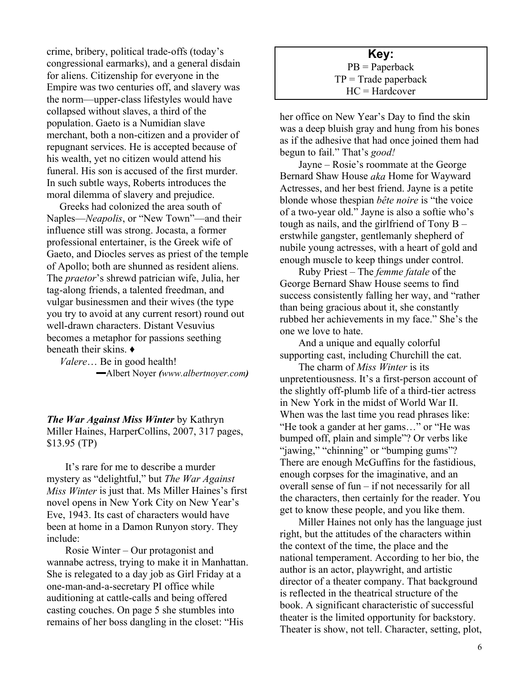crime, bribery, political trade-offs (today's congressional earmarks), and a general disdain for aliens. Citizenship for everyone in the Empire was two centuries off, and slavery was the norm—upper-class lifestyles would have collapsed without slaves, a third of the population. Gaeto is a Numidian slave merchant, both a non-citizen and a provider of repugnant services. He is accepted because of his wealth, yet no citizen would attend his funeral. His son is accused of the first murder. In such subtle ways, Roberts introduces the moral dilemma of slavery and prejudice.

 Greeks had colonized the area south of Naples—*Neapolis*, or "New Town"—and their influence still was strong. Jocasta, a former professional entertainer, is the Greek wife of Gaeto, and Diocles serves as priest of the temple of Apollo; both are shunned as resident aliens. The *praetor*'s shrewd patrician wife, Julia, her tag-along friends, a talented freedman, and vulgar businessmen and their wives (the type you try to avoid at any current resort) round out well-drawn characters. Distant Vesuvius becomes a metaphor for passions seething beneath their skins.  $\triangleleft$ 

*Valere*... Be in good health! **³**Albert Noyer *(www.albertnoyer.com)*

*The War Against Miss Winter* by Kathryn Miller Haines, HarperCollins, 2007, 317 pages, \$13.95 (TP)

It's rare for me to describe a murder mystery as "delightful," but *The War Against Miss Winter* is just that. Ms Miller Haines's first novel opens in New York City on New Year's Eve, 1943. Its cast of characters would have been at home in a Damon Runyon story. They include:

Rosie Winter  $-\text{Our protagonist}$  and wannabe actress, trying to make it in Manhattan. She is relegated to a day job as Girl Friday at a one-man-and-a-secretary PI office while auditioning at cattle-calls and being offered casting couches. On page 5 she stumbles into remains of her boss dangling in the closet: "His

**Key:** PB = Paperback  $TP = Trade$  paperback HC = Hardcover

her office on New Year's Day to find the skin was a deep bluish gray and hung from his bones as if the adhesive that had once joined them had begun to fail." That's *good!* 

Jayne – Rosie's roommate at the George Bernard Shaw House *aka* Home for Wayward Actresses, and her best friend. Jayne is a petite blonde whose thespian *bête noire* is "the voice" of a two-year old." Jayne is also a softie who's tough as nails, and the girlfriend of Tony  $B$ erstwhile gangster, gentlemanly shepherd of nubile young actresses, with a heart of gold and enough muscle to keep things under control.

Ruby Priest – The *femme fatale* of the George Bernard Shaw House seems to find success consistently falling her way, and "rather than being gracious about it, she constantly rubbed her achievements in my face." She's the one we love to hate.

And a unique and equally colorful supporting cast, including Churchill the cat.

The charm of *Miss Winter* is its unpretentiousness. It's a first-person account of the slightly off-plumb life of a third-tier actress in New York in the midst of World War II. When was the last time you read phrases like: "He took a gander at her gams..." or "He was bumped off, plain and simple"? Or verbs like "jawing," "chinning" or "bumping gums"? There are enough McGuffins for the fastidious, enough corpses for the imaginative, and an overall sense of fun  $-$  if not necessarily for all the characters, then certainly for the reader. You get to know these people, and you like them.

Miller Haines not only has the language just right, but the attitudes of the characters within the context of the time, the place and the national temperament. According to her bio, the author is an actor, playwright, and artistic director of a theater company. That background is reflected in the theatrical structure of the book. A significant characteristic of successful theater is the limited opportunity for backstory. Theater is show, not tell. Character, setting, plot,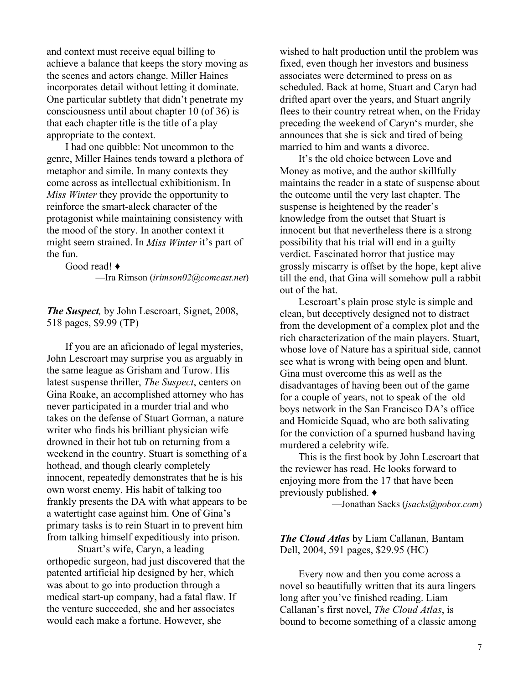and context must receive equal billing to achieve a balance that keeps the story moving as the scenes and actors change. Miller Haines incorporates detail without letting it dominate. One particular subtlety that didn't penetrate my consciousness until about chapter 10 (of 36) is that each chapter title is the title of a play appropriate to the context.

I had one quibble: Not uncommon to the genre, Miller Haines tends toward a plethora of metaphor and simile. In many contexts they come across as intellectual exhibitionism. In *Miss Winter* they provide the opportunity to reinforce the smart-aleck character of the protagonist while maintaining consistency with the mood of the story. In another context it might seem strained. In *Miss Winter* it's part of the fun.

Good read!  $\triangleleft$ ²Ira Rimson (*irimson02@comcast.net*)

*The Suspect,* by John Lescroart, Signet, 2008, 518 pages, \$9.99 (TP)

If you are an aficionado of legal mysteries, John Lescroart may surprise you as arguably in the same league as Grisham and Turow. His latest suspense thriller, *The Suspect*, centers on Gina Roake, an accomplished attorney who has never participated in a murder trial and who takes on the defense of Stuart Gorman, a nature writer who finds his brilliant physician wife drowned in their hot tub on returning from a weekend in the country. Stuart is something of a hothead, and though clearly completely innocent, repeatedly demonstrates that he is his own worst enemy. His habit of talking too frankly presents the DA with what appears to be a watertight case against him. One of Gina's primary tasks is to rein Stuart in to prevent him from talking himself expeditiously into prison.

Stuart's wife, Caryn, a leading orthopedic surgeon, had just discovered that the patented artificial hip designed by her, which was about to go into production through a medical start-up company, had a fatal flaw. If the venture succeeded, she and her associates would each make a fortune. However, she

wished to halt production until the problem was fixed, even though her investors and business associates were determined to press on as scheduled. Back at home, Stuart and Caryn had drifted apart over the years, and Stuart angrily flees to their country retreat when, on the Friday preceding the weekend of Caryn's murder, she announces that she is sick and tired of being married to him and wants a divorce.

It's the old choice between Love and Money as motive, and the author skillfully maintains the reader in a state of suspense about the outcome until the very last chapter. The suspense is heightened by the reader's knowledge from the outset that Stuart is innocent but that nevertheless there is a strong possibility that his trial will end in a guilty verdict. Fascinated horror that justice may grossly miscarry is offset by the hope, kept alive till the end, that Gina will somehow pull a rabbit out of the hat.

Lescroart's plain prose style is simple and clean, but deceptively designed not to distract from the development of a complex plot and the rich characterization of the main players. Stuart, whose love of Nature has a spiritual side, cannot see what is wrong with being open and blunt. Gina must overcome this as well as the disadvantages of having been out of the game for a couple of years, not to speak of the old boys network in the San Francisco DA's office and Homicide Squad, who are both salivating for the conviction of a spurned husband having murdered a celebrity wife.

This is the first book by John Lescroart that the reviewer has read. He looks forward to enjoying more from the 17 that have been previously published.  $\bullet$ 

²Jonathan Sacks (*jsacks@pobox.com*)

*The Cloud Atlas* by Liam Callanan, Bantam Dell, 2004, 591 pages, \$29.95 (HC)

Every now and then you come across a novel so beautifully written that its aura lingers long after you've finished reading. Liam Callanan¶s first novel, *The Cloud Atlas*, is bound to become something of a classic among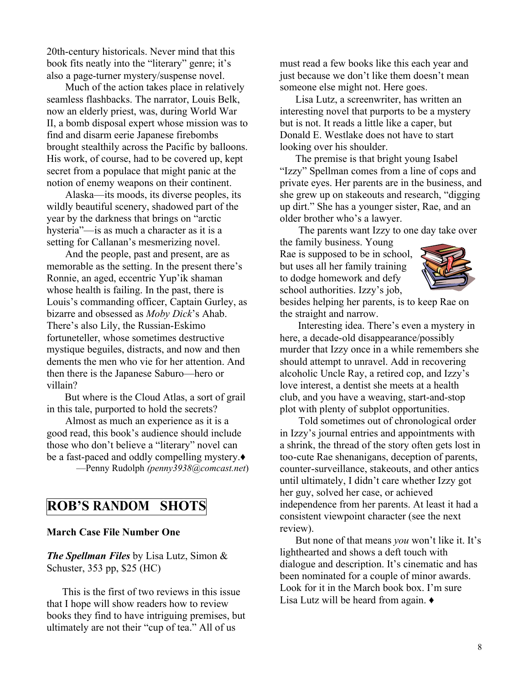20th-century historicals. Never mind that this book fits neatly into the "literary" genre; it's also a page-turner mystery/suspense novel.

Much of the action takes place in relatively seamless flashbacks. The narrator, Louis Belk, now an elderly priest, was, during World War II, a bomb disposal expert whose mission was to find and disarm eerie Japanese firebombs brought stealthily across the Pacific by balloons. His work, of course, had to be covered up, kept secret from a populace that might panic at the notion of enemy weapons on their continent.

Alaska—its moods, its diverse peoples, its wildly beautiful scenery, shadowed part of the year by the darkness that brings on "arctic hysteria<sup>"-</sup>js as much a character as it is a setting for Callanan's mesmerizing novel.

And the people, past and present, are as memorable as the setting. In the present there's Ronnie, an aged, eccentric Yup'ik shaman whose health is failing. In the past, there is Louis's commanding officer, Captain Gurley, as bizarre and obsessed as *Moby Dick*'s Ahab. There's also Lily, the Russian-Eskimo fortuneteller, whose sometimes destructive mystique beguiles, distracts, and now and then dements the men who vie for her attention. And then there is the Japanese Saburo-hero or villain?

 But where is the Cloud Atlas, a sort of grail in this tale, purported to hold the secrets?

Almost as much an experience as it is a good read, this book's audience should include those who don't believe a "literary" novel can be a fast-paced and oddly compelling mystery. ²Penny Rudolph *(penny3938@comcast.net*)

## **ROB¶S RANDOM SHOTS**

### **March Case File Number One**

*The Spellman Files* by Lisa Lutz, Simon & Schuster, 353 pp, \$25 (HC)

 This is the first of two reviews in this issue that I hope will show readers how to review books they find to have intriguing premises, but ultimately are not their "cup of tea." All of us

must read a few books like this each year and just because we don't like them doesn't mean someone else might not. Here goes.

 Lisa Lutz, a screenwriter, has written an interesting novel that purports to be a mystery but is not. It reads a little like a caper, but Donald E. Westlake does not have to start looking over his shoulder.

 The premise is that bright young Isabel "Izzy" Spellman comes from a line of cops and private eyes. Her parents are in the business, and she grew up on stakeouts and research, "digging" up dirt." She has a younger sister, Rae, and an older brother who's a lawyer.

The parents want Izzy to one day take over

the family business. Young Rae is supposed to be in school, but uses all her family training to dodge homework and defy school authorities. Izzy's job,



besides helping her parents, is to keep Rae on the straight and narrow.

Interesting idea. There's even a mystery in here, a decade-old disappearance/possibly murder that Izzy once in a while remembers she should attempt to unravel. Add in recovering alcoholic Uncle Ray, a retired cop, and Izzy's love interest, a dentist she meets at a health club, and you have a weaving, start-and-stop plot with plenty of subplot opportunities.

Told sometimes out of chronological order in Izzy's journal entries and appointments with a shrink, the thread of the story often gets lost in too-cute Rae shenanigans, deception of parents, counter-surveillance, stakeouts, and other antics until ultimately, I didn't care whether Izzy got her guy, solved her case, or achieved independence from her parents. At least it had a consistent viewpoint character (see the next review).

But none of that means *you* won't like it. It's lighthearted and shows a deft touch with dialogue and description. It's cinematic and has been nominated for a couple of minor awards. Look for it in the March book box. I'm sure Lisa Lutz will be heard from again.  $\triangle$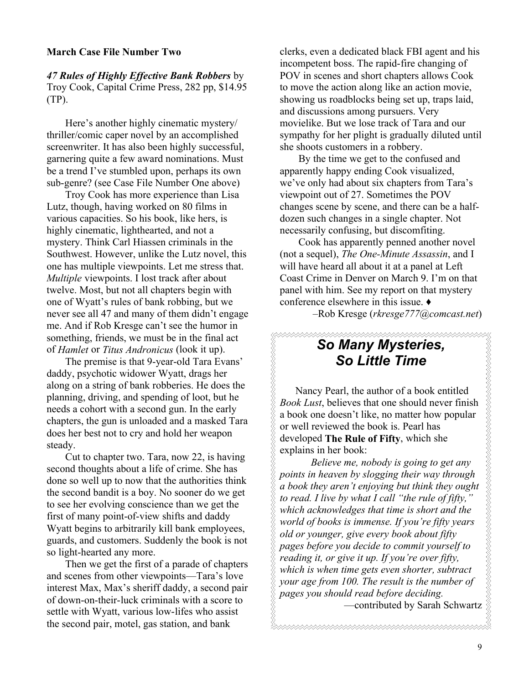#### **March Case File Number Two**

*47 Rules of Highly Effective Bank Robbers* by Troy Cook, Capital Crime Press, 282 pp, \$14.95 (TP).

Here's another highly cinematic mystery/ thriller/comic caper novel by an accomplished screenwriter. It has also been highly successful, garnering quite a few award nominations. Must be a trend I've stumbled upon, perhaps its own sub-genre? (see Case File Number One above)

Troy Cook has more experience than Lisa Lutz, though, having worked on 80 films in various capacities. So his book, like hers, is highly cinematic, lighthearted, and not a mystery. Think Carl Hiassen criminals in the Southwest. However, unlike the Lutz novel, this one has multiple viewpoints. Let me stress that. *Multiple* viewpoints. I lost track after about twelve. Most, but not all chapters begin with one of Wyatt's rules of bank robbing, but we never see all 47 and many of them didn't engage me. And if Rob Kresge can't see the humor in something, friends, we must be in the final act of *Hamlet* or *Titus Andronicus* (look it up).

The premise is that 9-year-old Tara Evans' daddy, psychotic widower Wyatt, drags her along on a string of bank robberies. He does the planning, driving, and spending of loot, but he needs a cohort with a second gun. In the early chapters, the gun is unloaded and a masked Tara does her best not to cry and hold her weapon steady.

Cut to chapter two. Tara, now 22, is having second thoughts about a life of crime. She has done so well up to now that the authorities think the second bandit is a boy. No sooner do we get to see her evolving conscience than we get the first of many point-of-view shifts and daddy Wyatt begins to arbitrarily kill bank employees, guards, and customers. Suddenly the book is not so light-hearted any more.

Then we get the first of a parade of chapters and scenes from other viewpoints—Tara's love interest Max, Max's sheriff daddy, a second pair of down-on-their-luck criminals with a score to settle with Wyatt, various low-lifes who assist the second pair, motel, gas station, and bank

clerks, even a dedicated black FBI agent and his incompetent boss. The rapid-fire changing of POV in scenes and short chapters allows Cook to move the action along like an action movie, showing us roadblocks being set up, traps laid, and discussions among pursuers. Very movielike. But we lose track of Tara and our sympathy for her plight is gradually diluted until she shoots customers in a robbery.

By the time we get to the confused and apparently happy ending Cook visualized, we've only had about six chapters from Tara's viewpoint out of 27. Sometimes the POV changes scene by scene, and there can be a halfdozen such changes in a single chapter. Not necessarily confusing, but discomfiting.

Cook has apparently penned another novel (not a sequel), *The One-Minute Assassin*, and I will have heard all about it at a panel at Left Coast Crime in Denver on March 9. I'm on that panel with him. See my report on that mystery conference elsewhere in this issue.  $\triangleleft$ 

±Rob Kresge (*rkresge777@comcast.net*)

## *So Many Mysteries, So Little Time*

 Nancy Pearl, the author of a book entitled *Book Lust*, believes that one should never finish a book one doesn't like, no matter how popular or well reviewed the book is. Pearl has developed **The Rule of Fifty**, which she explains in her book:

*Believe me, nobody is going to get any points in heaven by slogging their way through a book they aren¶t enjoying but think they ought to read. I live by what I call "the rule of fifty,' which acknowledges that time is short and the world of books is immense. If you're fifty years old or younger, give every book about fifty pages before you decide to commit yourself to reading it, or give it up. If you're over fifty, which is when time gets even shorter, subtract your age from 100. The result is the number of pages you should read before deciding.*  -contributed by Sarah Schwartz

9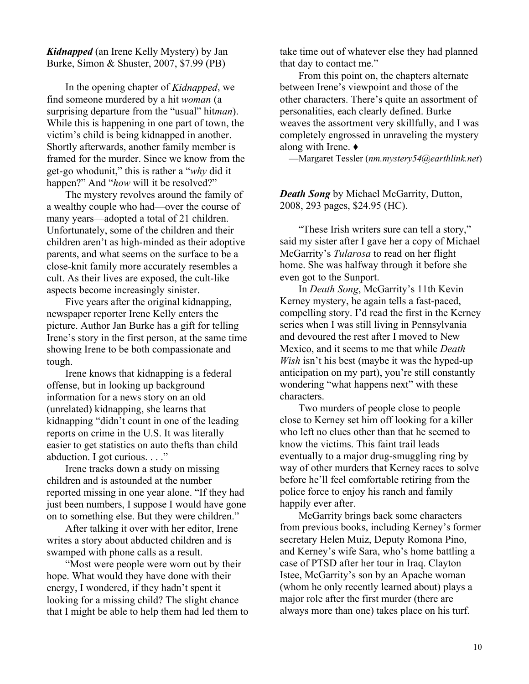*Kidnapped* (an Irene Kelly Mystery) by Jan Burke, Simon & Shuster, 2007, \$7.99 (PB)

In the opening chapter of *Kidnapped*, we find someone murdered by a hit *woman* (a surprising departure from the "usual" hit*man*). While this is happening in one part of town, the victim's child is being kidnapped in another. Shortly afterwards, another family member is framed for the murder. Since we know from the get-go whodunit," this is rather a "*why* did it happen?" And "how will it be resolved?"

The mystery revolves around the family of a wealthy couple who had—over the course of many years—adopted a total of 21 children. Unfortunately, some of the children and their children aren't as high-minded as their adoptive parents, and what seems on the surface to be a close-knit family more accurately resembles a cult. As their lives are exposed, the cult-like aspects become increasingly sinister.

Five years after the original kidnapping, newspaper reporter Irene Kelly enters the picture. Author Jan Burke has a gift for telling Irene's story in the first person, at the same time showing Irene to be both compassionate and tough.

Irene knows that kidnapping is a federal offense, but in looking up background information for a news story on an old (unrelated) kidnapping, she learns that kidnapping "didn't count in one of the leading reports on crime in the U.S. It was literally easier to get statistics on auto thefts than child abduction. I got curious. . . ."

Irene tracks down a study on missing children and is astounded at the number reported missing in one year alone. "If they had just been numbers, I suppose I would have gone on to something else. But they were children.´

After talking it over with her editor, Irene writes a story about abducted children and is swamped with phone calls as a result.

"Most were people were worn out by their hope. What would they have done with their energy, I wondered, if they hadn't spent it looking for a missing child? The slight chance that I might be able to help them had led them to take time out of whatever else they had planned that day to contact me."

From this point on, the chapters alternate between Irene's viewpoint and those of the other characters. There's quite an assortment of personalities, each clearly defined. Burke weaves the assortment very skillfully, and I was completely engrossed in unraveling the mystery along with Irene.  $\triangleleft$ 

²Margaret Tessler (*nm.mystery54@earthlink.net*)

*Death Song* by Michael McGarrity, Dutton, 2008, 293 pages, \$24.95 (HC).

"These Irish writers sure can tell a story," said my sister after I gave her a copy of Michael McGarrity's *Tularosa* to read on her flight home. She was halfway through it before she even got to the Sunport.

In *Death Song*, McGarrity's 11th Kevin Kerney mystery, he again tells a fast-paced, compelling story. I'd read the first in the Kerney series when I was still living in Pennsylvania and devoured the rest after I moved to New Mexico, and it seems to me that while *Death Wish* isn't his best (maybe it was the hyped-up anticipation on my part), you're still constantly wondering "what happens next" with these characters.

Two murders of people close to people close to Kerney set him off looking for a killer who left no clues other than that he seemed to know the victims. This faint trail leads eventually to a major drug-smuggling ring by way of other murders that Kerney races to solve before he'll feel comfortable retiring from the police force to enjoy his ranch and family happily ever after.

McGarrity brings back some characters from previous books, including Kerney's former secretary Helen Muiz, Deputy Romona Pino, and Kerney's wife Sara, who's home battling a case of PTSD after her tour in Iraq. Clayton Istee, McGarrity's son by an Apache woman (whom he only recently learned about) plays a major role after the first murder (there are always more than one) takes place on his turf.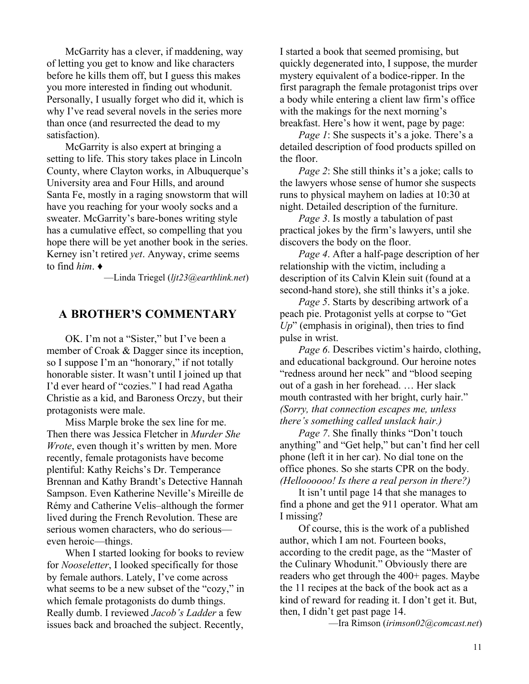McGarrity has a clever, if maddening, way of letting you get to know and like characters before he kills them off, but I guess this makes you more interested in finding out whodunit. Personally, I usually forget who did it, which is why I've read several novels in the series more than once (and resurrected the dead to my satisfaction).

McGarrity is also expert at bringing a setting to life. This story takes place in Lincoln County, where Clayton works, in Albuquerque's University area and Four Hills, and around Santa Fe, mostly in a raging snowstorm that will have you reaching for your wooly socks and a sweater. McGarrity's bare-bones writing style has a cumulative effect, so compelling that you hope there will be yet another book in the series. Kerney isn't retired *yet*. Anyway, crime seems to find *him*. Ƈ

²Linda Triegel (*ljt23@earthlink.net*)

## **A BROTHER¶S COMMENTARY**

OK. I'm not a "Sister," but I've been a member of Croak & Dagger since its inception, so I suppose I'm an "honorary," if not totally honorable sister. It wasn't until I joined up that I'd ever heard of "cozies." I had read Agatha Christie as a kid, and Baroness Orczy, but their protagonists were male.

Miss Marple broke the sex line for me. Then there was Jessica Fletcher in *Murder She Wrote*, even though it's written by men. More recently, female protagonists have become plentiful: Kathy Reichs's Dr. Temperance Brennan and Kathy Brandt's Detective Hannah Sampson. Even Katherine Neville's Mireille de Rémy and Catherine Velis-although the former lived during the French Revolution. These are serious women characters, who do serious even heroic—things.

When I started looking for books to review for *Nooseletter*, I looked specifically for those by female authors. Lately, I've come across what seems to be a new subset of the "cozy," in which female protagonists do dumb things. Really dumb. I reviewed *Jacob¶s Ladder* a few issues back and broached the subject. Recently,

I started a book that seemed promising, but quickly degenerated into, I suppose, the murder mystery equivalent of a bodice-ripper. In the first paragraph the female protagonist trips over a body while entering a client law firm's office with the makings for the next morning's breakfast. Here's how it went, page by page:

*Page 1*: She suspects it's a joke. There's a detailed description of food products spilled on the floor.

*Page 2*: She still thinks it's a joke; calls to the lawyers whose sense of humor she suspects runs to physical mayhem on ladies at 10:30 at night. Detailed description of the furniture.

*Page 3*. Is mostly a tabulation of past practical jokes by the firm's lawyers, until she discovers the body on the floor.

*Page 4*. After a half-page description of her relationship with the victim, including a description of its Calvin Klein suit (found at a second-hand store), she still thinks it's a joke.

*Page 5*. Starts by describing artwork of a peach pie. Protagonist yells at corpse to "Get"  $Up$ <sup>"</sup> (emphasis in original), then tries to find pulse in wrist.

*Page 6*. Describes victim's hairdo, clothing, and educational background. Our heroine notes "redness around her neck" and "blood seeping out of a gash in her forehead. ... Her slack mouth contrasted with her bright, curly hair." *(Sorry, that connection escapes me, unless there¶s something called unslack hair.)*

*Page 7*. She finally thinks "Don't touch anything" and "Get help," but can't find her cell phone (left it in her car). No dial tone on the office phones. So she starts CPR on the body. *(Helloooooo! Is there a real person in there?)*

It isn't until page 14 that she manages to find a phone and get the 911 operator. What am I missing?

Of course, this is the work of a published author, which I am not. Fourteen books, according to the credit page, as the "Master of the Culinary Whodunit." Obviously there are readers who get through the 400+ pages. Maybe the 11 recipes at the back of the book act as a kind of reward for reading it. I don't get it. But, then, I didn't get past page 14.

²Ira Rimson (*irimson02@comcast.net*)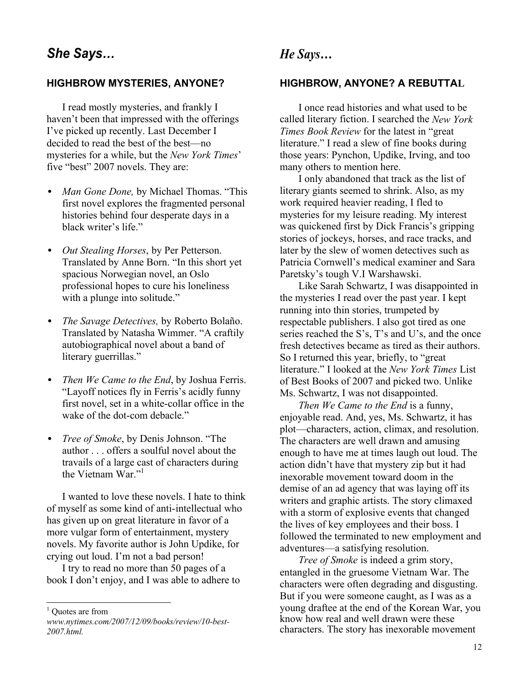## **HIGHBROW MYSTERIES, ANYONE?**

I read mostly mysteries, and frankly I haven't been that impressed with the offerings I've picked up recently. Last December I decided to read the best of the best-no mysteries for a while, but the *New York Times*' five "best" 2007 novels. They are:

- *Man Gone Done, by Michael Thomas.* "This first novel explores the fragmented personal histories behind four desperate days in a black writer's life."
- *Out Stealing Horses*, by Per Petterson. Translated by Anne Born. "In this short yet spacious Norwegian novel, an Oslo professional hopes to cure his loneliness with a plunge into solitude."
- *The Savage Detectives,* by Roberto Bolaño. Translated by Natasha Wimmer. "A craftily autobiographical novel about a band of literary guerrillas."
- *Then We Came to the End*, by Joshua Ferris. "Layoff notices fly in Ferris's acidly funny first novel, set in a white-collar office in the wake of the dot-com debacle."
- *Tree of Smoke*, by Denis Johnson. "The author . . . offers a soulful novel about the travails of a large cast of characters during the Vietnam War."<sup>1</sup>

I wanted to love these novels. I hate to think of myself as some kind of anti-intellectual who has given up on great literature in favor of a more vulgar form of entertainment, mystery novels. My favorite author is John Updike, for crying out loud. I'm not a bad person!

I try to read no more than 50 pages of a book I don't enjoy, and I was able to adhere to

l

## *He Says*...

#### **HIGHBROW, ANYONE? A REBUTTAL**

I once read histories and what used to be called literary fiction. I searched the *New York Times Book Review* for the latest in "great" literature." I read a slew of fine books during those years: Pynchon, Updike, Irving, and too many others to mention here.

I only abandoned that track as the list of literary giants seemed to shrink. Also, as my work required heavier reading, I fled to mysteries for my leisure reading. My interest was quickened first by Dick Francis's gripping stories of jockeys, horses, and race tracks, and later by the slew of women detectives such as Patricia Cornwell's medical examiner and Sara Paretsky's tough V.I Warshawski.

Like Sarah Schwartz, I was disappointed in the mysteries I read over the past year. I kept running into thin stories, trumpeted by respectable publishers. I also got tired as one series reached the S's, T's and U's, and the once fresh detectives became as tired as their authors. So I returned this year, briefly, to "great" literature.´ I looked at the *New York Times* List of Best Books of 2007 and picked two. Unlike Ms. Schwartz, I was not disappointed.

*Then We Came to the End* is a funny, enjoyable read. And, yes, Ms. Schwartz, it has plot—characters, action, climax, and resolution. The characters are well drawn and amusing enough to have me at times laugh out loud. The action didn't have that mystery zip but it had inexorable movement toward doom in the demise of an ad agency that was laying off its writers and graphic artists. The story climaxed with a storm of explosive events that changed the lives of key employees and their boss. I followed the terminated to new employment and adventures—a satisfying resolution.

*Tree of Smoke* is indeed a grim story, entangled in the gruesome Vietnam War. The characters were often degrading and disgusting. But if you were someone caught, as I was as a young draftee at the end of the Korean War, you know how real and well drawn were these characters. The story has inexorable movement

<sup>&</sup>lt;sup>1</sup> Quotes are from

*www.nytimes.com/2007/12/09/books/review/10-best-2007.html.*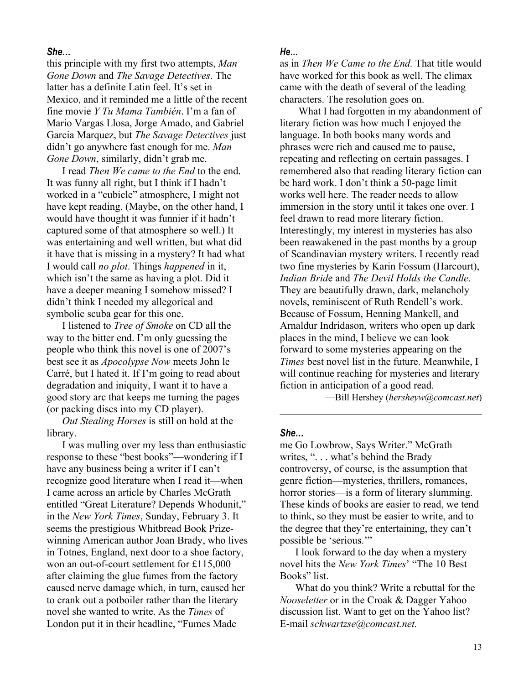## *She«*

this principle with my first two attempts, *Man Gone Down* and *The Savage Detectives*. The latter has a definite Latin feel. It's set in Mexico, and it reminded me a little of the recent fine movie *Y Tu Mama También*. I'm a fan of Mario Vargas Llosa, Jorge Amado, and Gabriel Garcia Marquez, but *The Savage Detectives* just didn't go anywhere fast enough for me. Man *Gone Down*, similarly, didn't grab me.

I read *Then We came to the End* to the end. It was funny all right, but I think if I hadn't worked in a "cubicle" atmosphere, I might not have kept reading. (Maybe, on the other hand, I would have thought it was funnier if it hadn't captured some of that atmosphere so well.) It was entertaining and well written, but what did it have that is missing in a mystery? It had what I would call *no plot*. Things *happened* in it, which isn't the same as having a plot. Did it have a deeper meaning I somehow missed? I didn't think I needed my allegorical and symbolic scuba gear for this one.

I listened to *Tree of Smoke* on CD all the way to the bitter end. I'm only guessing the people who think this novel is one of 2007's best see it as *Apocolypse Now* meets John le Carré, but I hated it. If I'm going to read about degradation and iniquity, I want it to have a good story arc that keeps me turning the pages (or packing discs into my CD player).

*Out Stealing Horses* is still on hold at the library.

I was mulling over my less than enthusiastic response to these "best books"—wondering if I have any business being a writer if I can't recognize good literature when I read it—when I came across an article by Charles McGrath entitled "Great Literature? Depends Whodunit," in the *New York Times*, Sunday, February 3. It seems the prestigious Whitbread Book Prizewinning American author Joan Brady, who lives in Totnes, England, next door to a shoe factory, won an out-of-court settlement for £115,000 after claiming the glue fumes from the factory caused nerve damage which, in turn, caused her to crank out a potboiler rather than the literary novel she wanted to write. As the *Times* of London put it in their headline, "Fumes Made

#### *He...*

as in *Then We Came to the End.* That title would have worked for this book as well. The climax came with the death of several of the leading characters. The resolution goes on.

What I had forgotten in my abandonment of literary fiction was how much I enjoyed the language. In both books many words and phrases were rich and caused me to pause, repeating and reflecting on certain passages. I remembered also that reading literary fiction can be hard work. I don't think a 50-page limit works well here. The reader needs to allow immersion in the story until it takes one over. I feel drawn to read more literary fiction. Interestingly, my interest in mysteries has also been reawakened in the past months by a group of Scandinavian mystery writers. I recently read two fine mysteries by Karin Fossum (Harcourt), *Indian Brid*e and *The Devil Holds the Candle*. They are beautifully drawn, dark, melancholy novels, reminiscent of Ruth Rendell's work. Because of Fossum, Henning Mankell, and Arnaldur Indridason, writers who open up dark places in the mind, I believe we can look forward to some mysteries appearing on the *Times* best novel list in the future. Meanwhile, I will continue reaching for mysteries and literary fiction in anticipation of a good read.

²Bill Hershey (*hersheyw@comcast.net*)

#### *She«*

me Go Lowbrow, Says Writer." McGrath writes, ". . . what's behind the Brady controversy, of course, is the assumption that genre fiction—mysteries, thrillers, romances, horror stories-is a form of literary slumming. These kinds of books are easier to read, we tend to think, so they must be easier to write, and to the degree that they're entertaining, they can't possible be 'serious."

 $\mathcal{L}_\text{max}$  and  $\mathcal{L}_\text{max}$  and  $\mathcal{L}_\text{max}$  and  $\mathcal{L}_\text{max}$ 

I look forward to the day when a mystery novel hits the *New York Times*' "The 10 Best Books" list.

What do you think? Write a rebuttal for the *Nooseletter* or in the Croak & Dagger Yahoo discussion list. Want to get on the Yahoo list? E-mail *schwartzse@comcast.net.*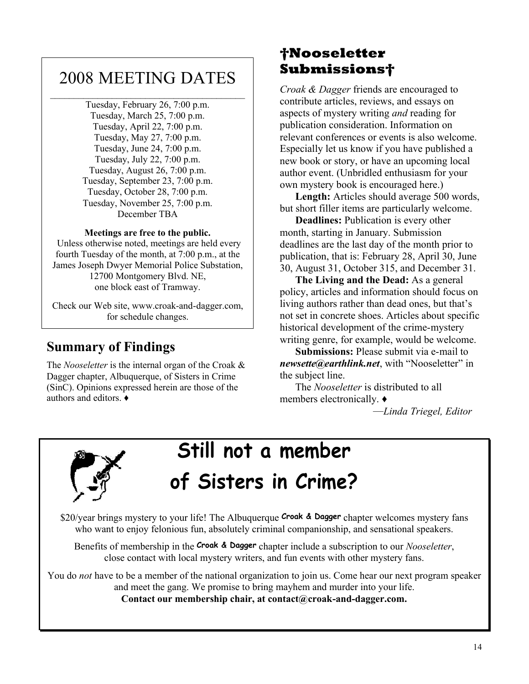# 2008 MEETING DATES

Tuesday, February 26, 7:00 p.m. Tuesday, March 25, 7:00 p.m. Tuesday, April 22, 7:00 p.m. Tuesday, May 27, 7:00 p.m. Tuesday, June 24, 7:00 p.m. Tuesday, July 22, 7:00 p.m. Tuesday, August 26, 7:00 p.m. Tuesday, September 23, 7:00 p.m. Tuesday, October 28, 7:00 p.m. Tuesday, November 25, 7:00 p.m. December TBA

## **Meetings are free to the public.**

 Unless otherwise noted, meetings are held every fourth Tuesday of the month, at 7:00 p.m., at the James Joseph Dwyer Memorial Police Substation, 12700 Montgomery Blvd. NE, one block east of Tramway.

Check our Web site, www.croak-and-dagger.com, for schedule changes.

# **Summary of Findings**

The *Nooseletter* is the internal organ of the Croak & Dagger chapter, Albuquerque, of Sisters in Crime (SinC). Opinions expressed herein are those of the authors and editors.  $\triangleleft$ 

# **Nooseletter Submissions**

*Croak & Dagger* friends are encouraged to contribute articles, reviews, and essays on aspects of mystery writing *and* reading for publication consideration. Information on relevant conferences or events is also welcome. Especially let us know if you have published a new book or story, or have an upcoming local author event. (Unbridled enthusiasm for your own mystery book is encouraged here.)

**Length:** Articles should average 500 words, but short filler items are particularly welcome.

**Deadlines:** Publication is every other month, starting in January. Submission deadlines are the last day of the month prior to publication, that is: February 28, April 30, June 30, August 31, October 315, and December 31.

**The Living and the Dead:** As a general policy, articles and information should focus on living authors rather than dead ones, but that's not set in concrete shoes. Articles about specific historical development of the crime-mystery writing genre, for example, would be welcome.

**Submissions:** Please submit via e-mail to *newsette@earthlink.net.* with "Nooseletter" in the subject line.

The *Nooseletter* is distributed to all members electronically.  $\triangleleft$ 

²*Linda Triegel, Editor*



# **Still not a member of Sisters in Crime?**

\$20/year brings mystery to your life! The Albuquerque **Croak & Dagger** chapter welcomes mystery fans who want to enjoy felonious fun, absolutely criminal companionship, and sensational speakers.

Benefits of membership in the **Croak & Dagger** chapter include a subscription to our *Nooseletter*, close contact with local mystery writers, and fun events with other mystery fans.

You do *not* have to be a member of the national organization to join us. Come hear our next program speaker and meet the gang. We promise to bring mayhem and murder into your life. **Contact our membership chair, at contact@croak-and-dagger.com.**